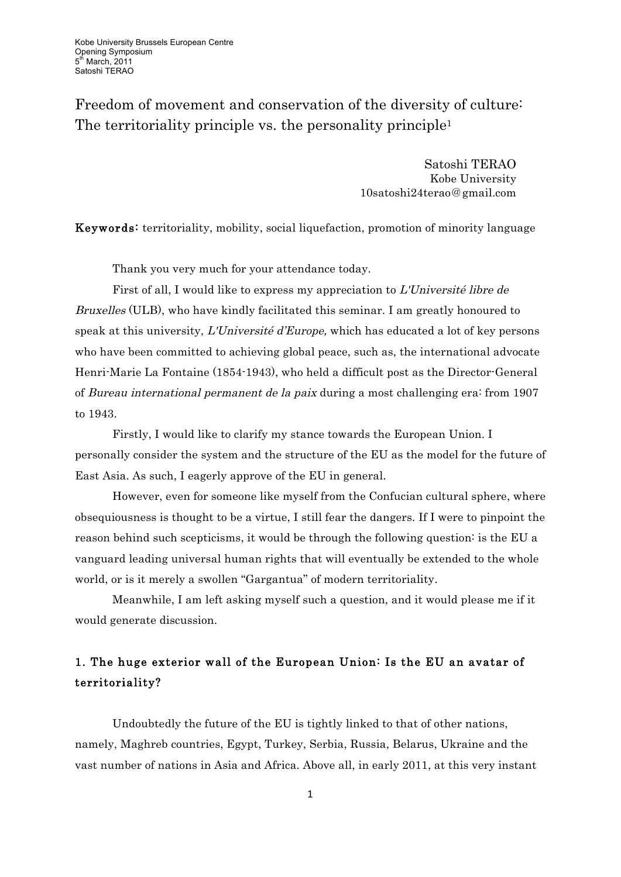Freedom of movement and conservation of the diversity of culture: The territoriality principle vs. the personality principle<sup>1</sup>

> Satoshi TERAO Kobe University 10satoshi24terao@gmail.com

Keywords: territoriality, mobility, social liquefaction, promotion of minority language

Thank you very much for your attendance today.

First of all, I would like to express my appreciation to L'Université libre de Bruxelles (ULB), who have kindly facilitated this seminar. I am greatly honoured to speak at this university, L'Université d'Europe, which has educated a lot of key persons who have been committed to achieving global peace, such as, the international advocate Henri-Marie La Fontaine (1854-1943), who held a difficult post as the Director-General of Bureau international permanent de la paix during a most challenging era: from 1907 to 1943.

Firstly, I would like to clarify my stance towards the European Union. I personally consider the system and the structure of the EU as the model for the future of East Asia. As such, I eagerly approve of the EU in general.

However, even for someone like myself from the Confucian cultural sphere, where obsequiousness is thought to be a virtue, I still fear the dangers. If I were to pinpoint the reason behind such scepticisms, it would be through the following question: is the EU a vanguard leading universal human rights that will eventually be extended to the whole world, or is it merely a swollen "Gargantua" of modern territoriality.

Meanwhile, I am left asking myself such a question, and it would please me if it would generate discussion.

# 1. The huge exterior wall of the European Union: Is the EU an avatar of territoriality?

Undoubtedly the future of the EU is tightly linked to that of other nations, namely, Maghreb countries, Egypt, Turkey, Serbia, Russia, Belarus, Ukraine and the vast number of nations in Asia and Africa. Above all, in early 2011, at this very instant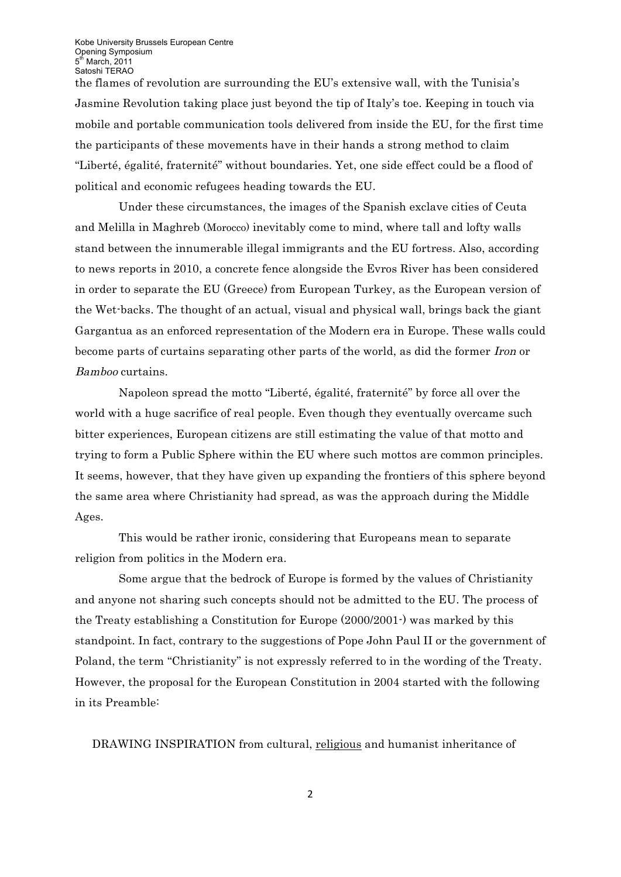the flames of revolution are surrounding the EU's extensive wall, with the Tunisia's Jasmine Revolution taking place just beyond the tip of Italy's toe. Keeping in touch via mobile and portable communication tools delivered from inside the EU, for the first time the participants of these movements have in their hands a strong method to claim "Liberté, égalité, fraternité" without boundaries. Yet, one side effect could be a flood of political and economic refugees heading towards the EU.

Under these circumstances, the images of the Spanish exclave cities of Ceuta and Melilla in Maghreb (Morocco) inevitably come to mind, where tall and lofty walls stand between the innumerable illegal immigrants and the EU fortress. Also, according to news reports in 2010, a concrete fence alongside the Evros River has been considered in order to separate the EU (Greece) from European Turkey, as the European version of the Wet-backs. The thought of an actual, visual and physical wall, brings back the giant Gargantua as an enforced representation of the Modern era in Europe. These walls could become parts of curtains separating other parts of the world, as did the former Iron or Bamboo curtains.

Napoleon spread the motto "Liberté, égalité, fraternité" by force all over the world with a huge sacrifice of real people. Even though they eventually overcame such bitter experiences, European citizens are still estimating the value of that motto and trying to form a Public Sphere within the EU where such mottos are common principles. It seems, however, that they have given up expanding the frontiers of this sphere beyond the same area where Christianity had spread, as was the approach during the Middle Ages.

This would be rather ironic, considering that Europeans mean to separate religion from politics in the Modern era.

Some argue that the bedrock of Europe is formed by the values of Christianity and anyone not sharing such concepts should not be admitted to the EU. The process of the Treaty establishing a Constitution for Europe (2000/2001-) was marked by this standpoint. In fact, contrary to the suggestions of Pope John Paul II or the government of Poland, the term "Christianity" is not expressly referred to in the wording of the Treaty. However, the proposal for the European Constitution in 2004 started with the following in its Preamble:

DRAWING INSPIRATION from cultural, religious and humanist inheritance of

2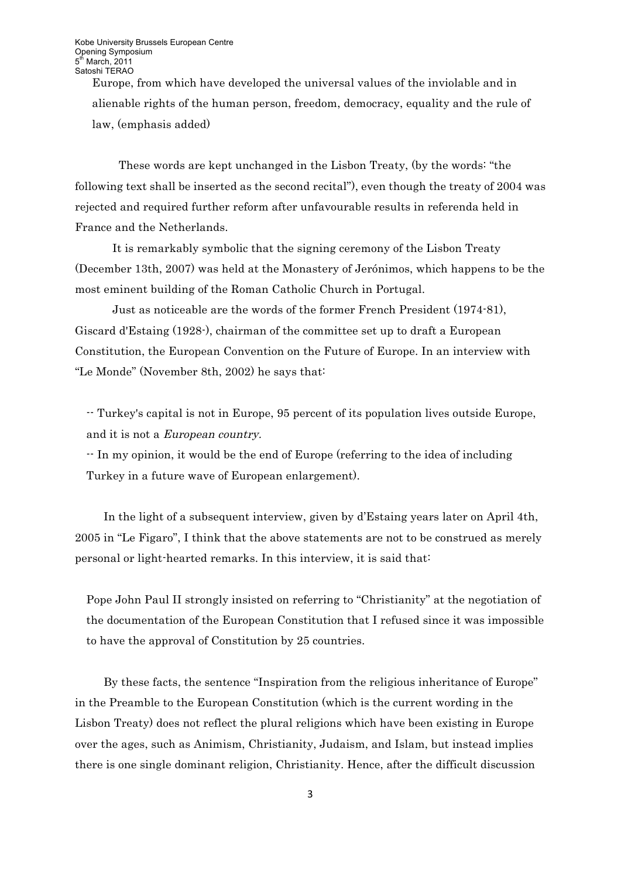Europe, from which have developed the universal values of the inviolable and in alienable rights of the human person, freedom, democracy, equality and the rule of law, (emphasis added)

These words are kept unchanged in the Lisbon Treaty, (by the words: "the following text shall be inserted as the second recital"), even though the treaty of 2004 was rejected and required further reform after unfavourable results in referenda held in France and the Netherlands.

It is remarkably symbolic that the signing ceremony of the Lisbon Treaty (December 13th, 2007) was held at the Monastery of Jerónimos, which happens to be the most eminent building of the Roman Catholic Church in Portugal.

Just as noticeable are the words of the former French President (1974-81), Giscard d'Estaing (1928-), chairman of the committee set up to draft a European Constitution, the European Convention on the Future of Europe. In an interview with "Le Monde" (November 8th, 2002) he says that:

-- Turkey's capital is not in Europe, 95 percent of its population lives outside Europe, and it is not a European country.

-- In my opinion, it would be the end of Europe (referring to the idea of including Turkey in a future wave of European enlargement).

In the light of a subsequent interview, given by d'Estaing years later on April 4th, 2005 in "Le Figaro", I think that the above statements are not to be construed as merely personal or light-hearted remarks. In this interview, it is said that:

Pope John Paul II strongly insisted on referring to "Christianity" at the negotiation of the documentation of the European Constitution that I refused since it was impossible to have the approval of Constitution by 25 countries.

By these facts, the sentence "Inspiration from the religious inheritance of Europe" in the Preamble to the European Constitution (which is the current wording in the Lisbon Treaty) does not reflect the plural religions which have been existing in Europe over the ages, such as Animism, Christianity, Judaism, and Islam, but instead implies there is one single dominant religion, Christianity. Hence, after the difficult discussion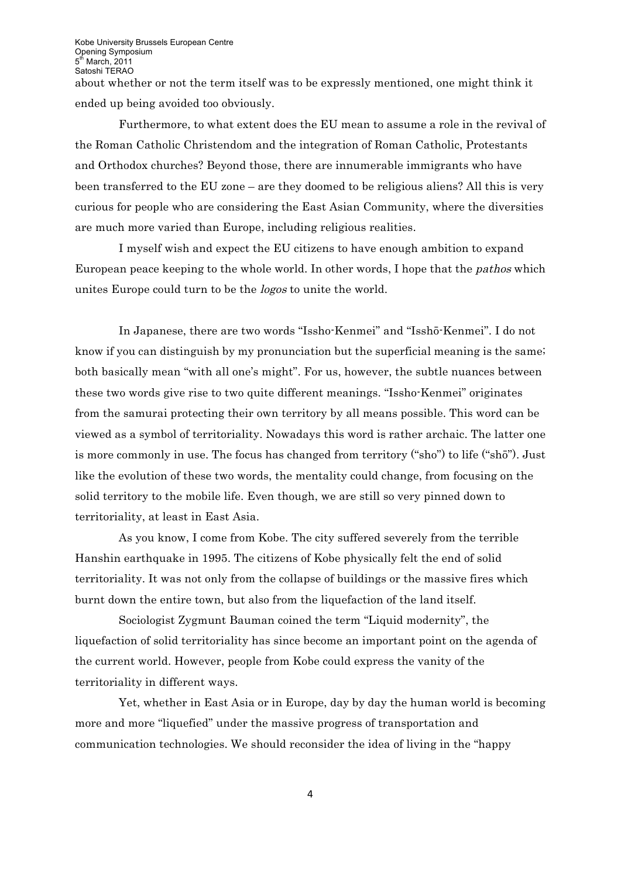about whether or not the term itself was to be expressly mentioned, one might think it ended up being avoided too obviously.

Furthermore, to what extent does the EU mean to assume a role in the revival of the Roman Catholic Christendom and the integration of Roman Catholic, Protestants and Orthodox churches? Beyond those, there are innumerable immigrants who have been transferred to the EU zone – are they doomed to be religious aliens? All this is very curious for people who are considering the East Asian Community, where the diversities are much more varied than Europe, including religious realities.

I myself wish and expect the EU citizens to have enough ambition to expand European peace keeping to the whole world. In other words, I hope that the pathos which unites Europe could turn to be the logos to unite the world.

In Japanese, there are two words "Issho-Kenmei" and "Isshō-Kenmei". I do not know if you can distinguish by my pronunciation but the superficial meaning is the same; both basically mean "with all one's might". For us, however, the subtle nuances between these two words give rise to two quite different meanings. "Issho-Kenmei" originates from the samurai protecting their own territory by all means possible. This word can be viewed as a symbol of territoriality. Nowadays this word is rather archaic. The latter one is more commonly in use. The focus has changed from territory ("sho") to life ("shō"). Just like the evolution of these two words, the mentality could change, from focusing on the solid territory to the mobile life. Even though, we are still so very pinned down to territoriality, at least in East Asia.

As you know, I come from Kobe. The city suffered severely from the terrible Hanshin earthquake in 1995. The citizens of Kobe physically felt the end of solid territoriality. It was not only from the collapse of buildings or the massive fires which burnt down the entire town, but also from the liquefaction of the land itself.

Sociologist Zygmunt Bauman coined the term "Liquid modernity", the liquefaction of solid territoriality has since become an important point on the agenda of the current world. However, people from Kobe could express the vanity of the territoriality in different ways.

Yet, whether in East Asia or in Europe, day by day the human world is becoming more and more "liquefied" under the massive progress of transportation and communication technologies. We should reconsider the idea of living in the "happy

4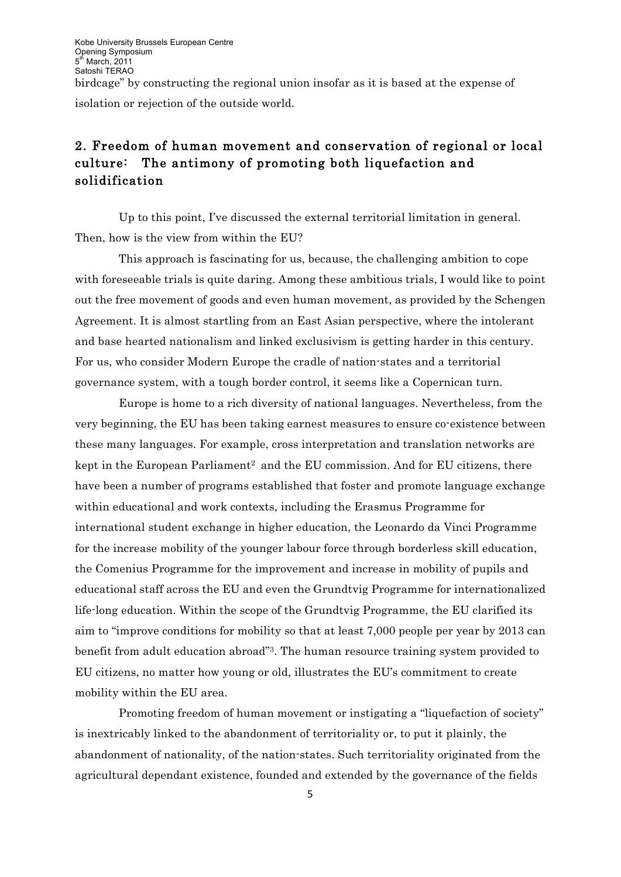isolation or rejection of the outside world.

# 2. Freedom of human movement and conservation of regional or local culture: The antimony of promoting both liquefaction and solidification

Up to this point, I've discussed the external territorial limitation in general. Then, how is the view from within the EU?

This approach is fascinating for us, because, the challenging ambition to cope with foreseeable trials is quite daring. Among these ambitious trials, I would like to point out the free movement of goods and even human movement, as provided by the Schengen Agreement. It is almost startling from an East Asian perspective, where the intolerant and base hearted nationalism and linked exclusivism is getting harder in this century. For us, who consider Modern Europe the cradle of nation-states and a territorial governance system, with a tough border control, it seems like a Copernican turn.

Europe is home to a rich diversity of national languages. Nevertheless, from the very beginning, the EU has been taking earnest measures to ensure co-existence between these many languages. For example, cross interpretation and translation networks are kept in the European Parliament<sup>2</sup> and the EU commission. And for EU citizens, there have been a number of programs established that foster and promote language exchange within educational and work contexts, including the Erasmus Programme for international student exchange in higher education, the Leonardo da Vinci Programme for the increase mobility of the younger labour force through borderless skill education, the Comenius Programme for the improvement and increase in mobility of pupils and educational staff across the EU and even the Grundtvig Programme for internationalized life-long education. Within the scope of the Grundtvig Programme, the EU clarified its aim to "improve conditions for mobility so that at least 7,000 people per year by 2013 can benefit from adult education abroad"3. The human resource training system provided to EU citizens, no matter how young or old, illustrates the EU's commitment to create mobility within the EU area.

Promoting freedom of human movement or instigating a "liquefaction of society" is inextricably linked to the abandonment of territoriality or, to put it plainly, the abandonment of nationality, of the nation-states. Such territoriality originated from the agricultural dependant existence, founded and extended by the governance of the fields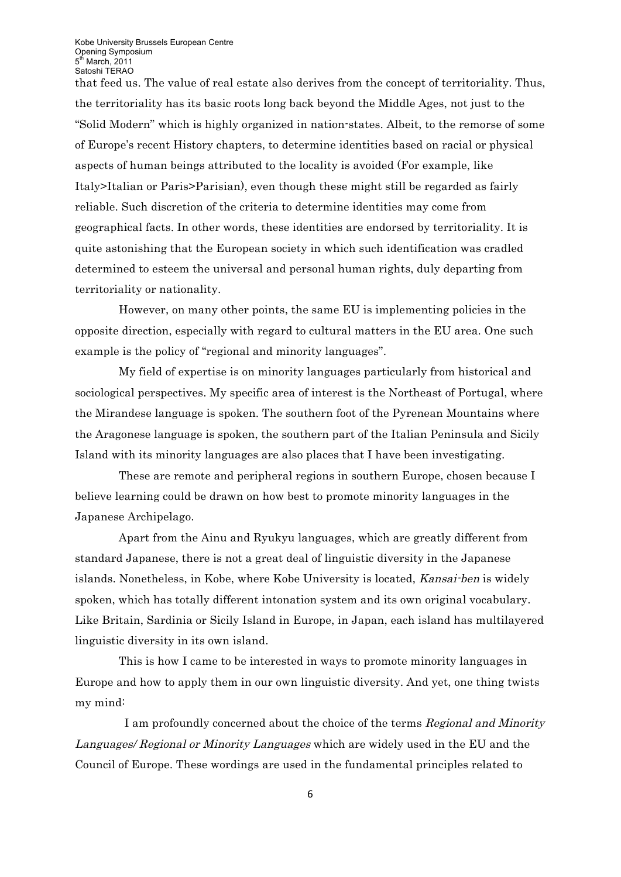that feed us. The value of real estate also derives from the concept of territoriality. Thus, the territoriality has its basic roots long back beyond the Middle Ages, not just to the "Solid Modern" which is highly organized in nation-states. Albeit, to the remorse of some of Europe's recent History chapters, to determine identities based on racial or physical aspects of human beings attributed to the locality is avoided (For example, like Italy>Italian or Paris>Parisian), even though these might still be regarded as fairly reliable. Such discretion of the criteria to determine identities may come from geographical facts. In other words, these identities are endorsed by territoriality. It is quite astonishing that the European society in which such identification was cradled determined to esteem the universal and personal human rights, duly departing from territoriality or nationality.

However, on many other points, the same EU is implementing policies in the opposite direction, especially with regard to cultural matters in the EU area. One such example is the policy of "regional and minority languages".

My field of expertise is on minority languages particularly from historical and sociological perspectives. My specific area of interest is the Northeast of Portugal, where the Mirandese language is spoken. The southern foot of the Pyrenean Mountains where the Aragonese language is spoken, the southern part of the Italian Peninsula and Sicily Island with its minority languages are also places that I have been investigating.

These are remote and peripheral regions in southern Europe, chosen because I believe learning could be drawn on how best to promote minority languages in the Japanese Archipelago.

Apart from the Ainu and Ryukyu languages, which are greatly different from standard Japanese, there is not a great deal of linguistic diversity in the Japanese islands. Nonetheless, in Kobe, where Kobe University is located, Kansai-ben is widely spoken, which has totally different intonation system and its own original vocabulary. Like Britain, Sardinia or Sicily Island in Europe, in Japan, each island has multilayered linguistic diversity in its own island.

This is how I came to be interested in ways to promote minority languages in Europe and how to apply them in our own linguistic diversity. And yet, one thing twists my mind:

I am profoundly concerned about the choice of the terms Regional and Minority Languages/ Regional or Minority Languages which are widely used in the EU and the Council of Europe. These wordings are used in the fundamental principles related to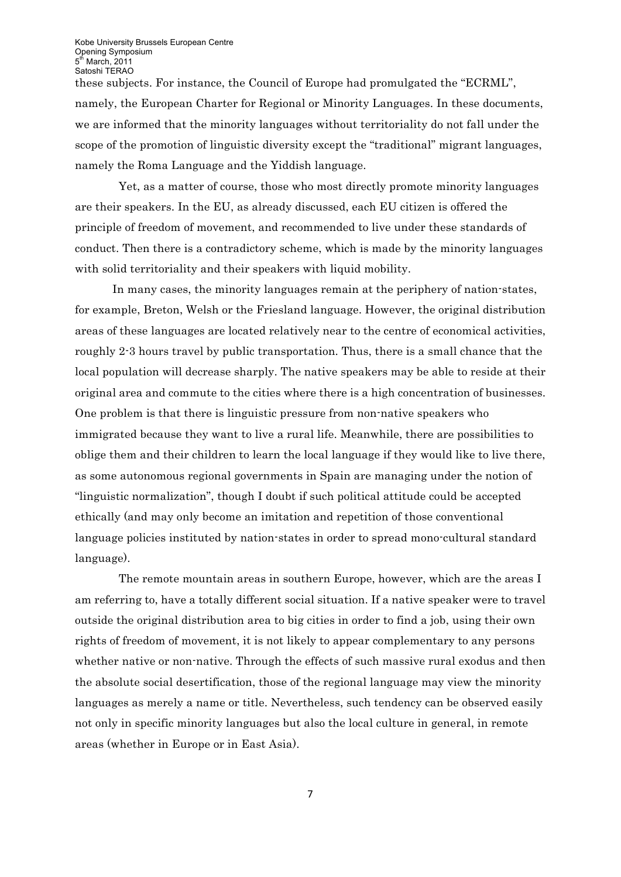these subjects. For instance, the Council of Europe had promulgated the "ECRML", namely, the European Charter for Regional or Minority Languages. In these documents, we are informed that the minority languages without territoriality do not fall under the scope of the promotion of linguistic diversity except the "traditional" migrant languages, namely the Roma Language and the Yiddish language.

Yet, as a matter of course, those who most directly promote minority languages are their speakers. In the EU, as already discussed, each EU citizen is offered the principle of freedom of movement, and recommended to live under these standards of conduct. Then there is a contradictory scheme, which is made by the minority languages with solid territoriality and their speakers with liquid mobility.

In many cases, the minority languages remain at the periphery of nation-states, for example, Breton, Welsh or the Friesland language. However, the original distribution areas of these languages are located relatively near to the centre of economical activities, roughly 2-3 hours travel by public transportation. Thus, there is a small chance that the local population will decrease sharply. The native speakers may be able to reside at their original area and commute to the cities where there is a high concentration of businesses. One problem is that there is linguistic pressure from non-native speakers who immigrated because they want to live a rural life. Meanwhile, there are possibilities to oblige them and their children to learn the local language if they would like to live there, as some autonomous regional governments in Spain are managing under the notion of "linguistic normalization", though I doubt if such political attitude could be accepted ethically (and may only become an imitation and repetition of those conventional language policies instituted by nation-states in order to spread mono-cultural standard language).

The remote mountain areas in southern Europe, however, which are the areas I am referring to, have a totally different social situation. If a native speaker were to travel outside the original distribution area to big cities in order to find a job, using their own rights of freedom of movement, it is not likely to appear complementary to any persons whether native or non-native. Through the effects of such massive rural exodus and then the absolute social desertification, those of the regional language may view the minority languages as merely a name or title. Nevertheless, such tendency can be observed easily not only in specific minority languages but also the local culture in general, in remote areas (whether in Europe or in East Asia).

7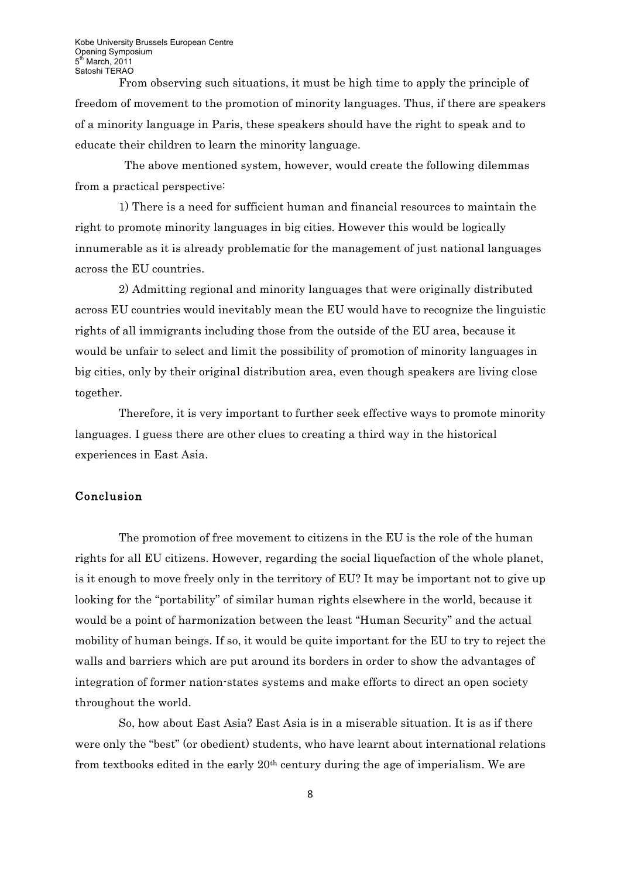From observing such situations, it must be high time to apply the principle of freedom of movement to the promotion of minority languages. Thus, if there are speakers of a minority language in Paris, these speakers should have the right to speak and to educate their children to learn the minority language.

The above mentioned system, however, would create the following dilemmas from a practical perspective:

1) There is a need for sufficient human and financial resources to maintain the right to promote minority languages in big cities. However this would be logically innumerable as it is already problematic for the management of just national languages across the EU countries.

2) Admitting regional and minority languages that were originally distributed across EU countries would inevitably mean the EU would have to recognize the linguistic rights of all immigrants including those from the outside of the EU area, because it would be unfair to select and limit the possibility of promotion of minority languages in big cities, only by their original distribution area, even though speakers are living close together.

Therefore, it is very important to further seek effective ways to promote minority languages. I guess there are other clues to creating a third way in the historical experiences in East Asia.

## Conclusion

The promotion of free movement to citizens in the EU is the role of the human rights for all EU citizens. However, regarding the social liquefaction of the whole planet, is it enough to move freely only in the territory of EU? It may be important not to give up looking for the "portability" of similar human rights elsewhere in the world, because it would be a point of harmonization between the least "Human Security" and the actual mobility of human beings. If so, it would be quite important for the EU to try to reject the walls and barriers which are put around its borders in order to show the advantages of integration of former nation-states systems and make efforts to direct an open society throughout the world.

So, how about East Asia? East Asia is in a miserable situation. It is as if there were only the "best" (or obedient) students, who have learnt about international relations from textbooks edited in the early  $20<sup>th</sup>$  century during the age of imperialism. We are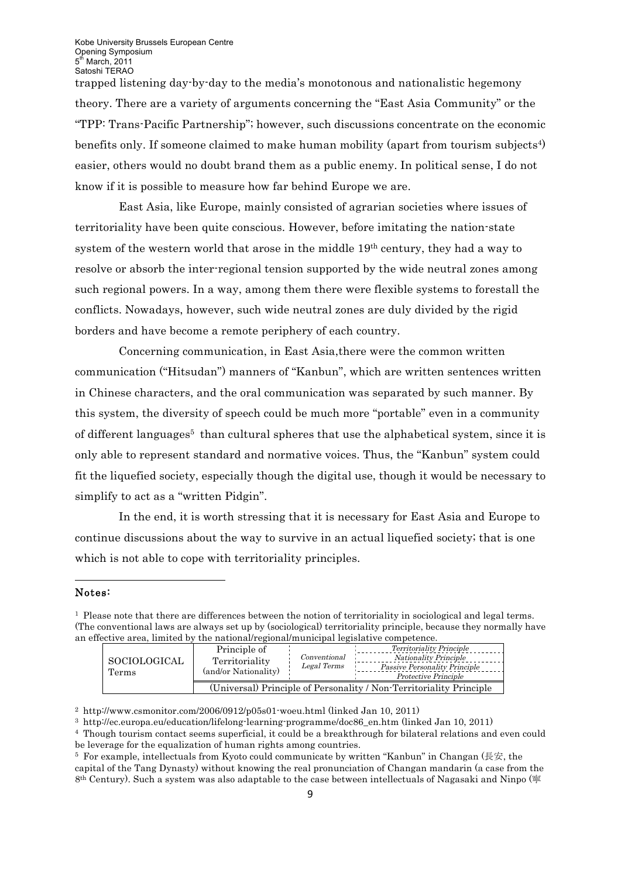trapped listening day-by-day to the media's monotonous and nationalistic hegemony theory. There are a variety of arguments concerning the "East Asia Community" or the "TPP: Trans-Pacific Partnership"; however, such discussions concentrate on the economic benefits only. If someone claimed to make human mobility (apart from tourism subjects<sup>4)</sup> easier, others would no doubt brand them as a public enemy. In political sense, I do not know if it is possible to measure how far behind Europe we are.

East Asia, like Europe, mainly consisted of agrarian societies where issues of territoriality have been quite conscious. However, before imitating the nation-state system of the western world that arose in the middle 19th century, they had a way to resolve or absorb the inter-regional tension supported by the wide neutral zones among such regional powers. In a way, among them there were flexible systems to forestall the conflicts. Nowadays, however, such wide neutral zones are duly divided by the rigid borders and have become a remote periphery of each country.

Concerning communication, in East Asia,there were the common written communication ("Hitsudan") manners of "Kanbun", which are written sentences written in Chinese characters, and the oral communication was separated by such manner. By this system, the diversity of speech could be much more "portable" even in a community of different languages<sup> $5$ </sup> than cultural spheres that use the alphabetical system, since it is only able to represent standard and normative voices. Thus, the "Kanbun" system could fit the liquefied society, especially though the digital use, though it would be necessary to simplify to act as a "written Pidgin".

In the end, it is worth stressing that it is necessary for East Asia and Europe to continue discussions about the way to survive in an actual liquefied society; that is one which is not able to cope with territoriality principles.

### Notes:

!!!!!!!!!!!!!!!!!!!!!!!!!!!!!!!!!!!!!!!!!!!!!!!!!!!!!!!!!!!!

<sup>1</sup> Please note that there are differences between the notion of territoriality in sociological and legal terms. (The conventional laws are always set up by (sociological) territoriality principle, because they normally have an effective area, limited by the national/regional/municipal legislative competence.

| SOCIOLOGICAL<br>Terms | Principle of<br>Territoriality<br>(and/or Nationality)              | Conventional<br>Legal Terms | <i>Territoriality Principle</i> |
|-----------------------|---------------------------------------------------------------------|-----------------------------|---------------------------------|
|                       |                                                                     |                             | <i>Nationality Principle</i>    |
|                       |                                                                     |                             | Passive Personality Principle   |
|                       |                                                                     |                             | Protective Principle            |
|                       | (Universal) Principle of Personality / Non-Territoriality Principle |                             |                                 |

<sup>2</sup> http://www.csmonitor.com/2006/0912/p05s01-woeu.html (linked Jan 10, 2011)

<sup>3</sup> http://ec.europa.eu/education/lifelong-learning-programme/doc86\_en.htm (linked Jan 10, 2011)

<sup>4</sup> Though tourism contact seems superficial, it could be a breakthrough for bilateral relations and even could be leverage for the equalization of human rights among countries.<br>
<sup>5</sup> For example, intellectuals from Kyoto could communicate by written "Kanbun" in Changan (長安, the

capital of the Tang Dynasty) without knowing the real pronunciation of Changan mandarin (a case from the 8th Century). Such a system was also adaptable to the case between intellectuals of Nagasaki and Ninpo (寧